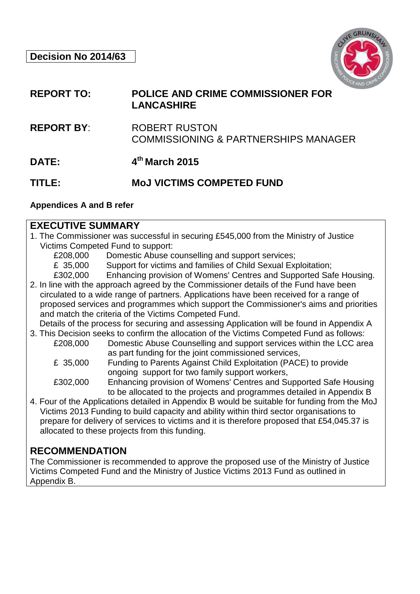

#### **REPORT TO: POLICE AND CRIME COMMISSIONER FOR LANCASHIRE**

- **REPORT BY**: ROBERT RUSTON COMMISSIONING & PARTNERSHIPS MANAGER
- **DATE: 4th March 2015**

## **TITLE: MoJ VICTIMS COMPETED FUND**

#### **Appendices A and B refer**

#### **EXECUTIVE SUMMARY**

- 1. The Commissioner was successful in securing £545,000 from the Ministry of Justice Victims Competed Fund to support:
	- £208,000 Domestic Abuse counselling and support services;
	- £ 35,000 Support for victims and families of Child Sexual Exploitation;
	- £302,000 Enhancing provision of Womens' Centres and Supported Safe Housing.
- 2. In line with the approach agreed by the Commissioner details of the Fund have been circulated to a wide range of partners. Applications have been received for a range of proposed services and programmes which support the Commissioner's aims and priorities and match the criteria of the Victims Competed Fund.
- Details of the process for securing and assessing Application will be found in Appendix A 3. This Decision seeks to confirm the allocation of the Victims Competed Fund as follows:
	- £208,000 Domestic Abuse Counselling and support services within the LCC area as part funding for the joint commissioned services,
		- £ 35,000 Funding to Parents Against Child Exploitation (PACE) to provide ongoing support for two family support workers,
		- £302,000 Enhancing provision of Womens' Centres and Supported Safe Housing to be allocated to the projects and programmes detailed in Appendix B
- 4. Four of the Applications detailed in Appendix B would be suitable for funding from the MoJ Victims 2013 Funding to build capacity and ability within third sector organisations to prepare for delivery of services to victims and it is therefore proposed that £54,045.37 is allocated to these projects from this funding.

# **RECOMMENDATION**

The Commissioner is recommended to approve the proposed use of the Ministry of Justice Victims Competed Fund and the Ministry of Justice Victims 2013 Fund as outlined in Appendix B.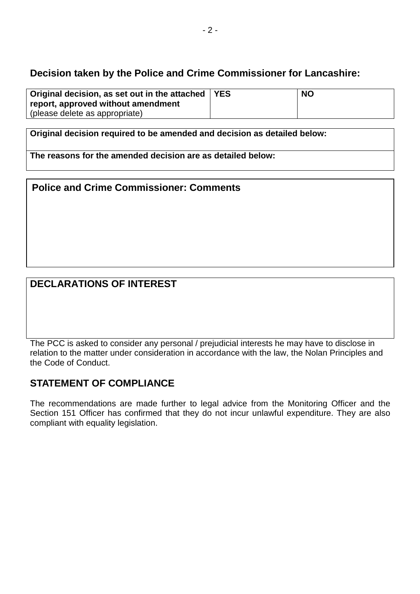## **Decision taken by the Police and Crime Commissioner for Lancashire:**

| Original decision, as set out in the attached   YES | <b>NO</b> |
|-----------------------------------------------------|-----------|
| report, approved without amendment                  |           |
| (please delete as appropriate)                      |           |

**Original decision required to be amended and decision as detailed below:**

**The reasons for the amended decision are as detailed below:**

**Police and Crime Commissioner: Comments** 

# **DECLARATIONS OF INTEREST**

The PCC is asked to consider any personal / prejudicial interests he may have to disclose in relation to the matter under consideration in accordance with the law, the Nolan Principles and the Code of Conduct.

# **STATEMENT OF COMPLIANCE**

The recommendations are made further to legal advice from the Monitoring Officer and the Section 151 Officer has confirmed that they do not incur unlawful expenditure. They are also compliant with equality legislation.